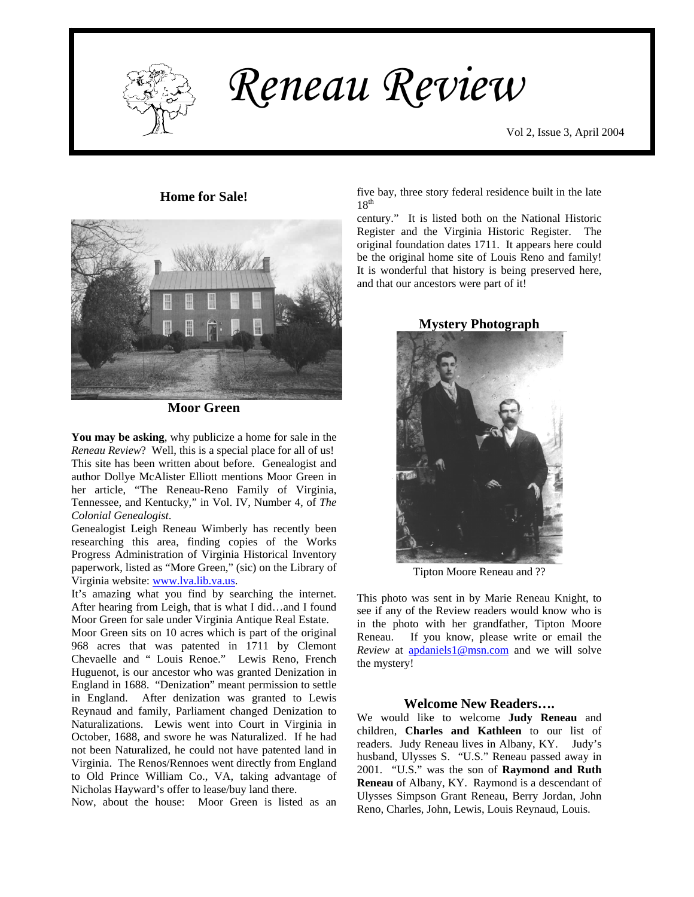

 $\mathbf{I}$   $\mathbf{V}$  *Reneau Review* 

**Home for Sale!** 



**Moor Green** 

**You may be asking**, why publicize a home for sale in the *Reneau Review*? Well, this is a special place for all of us! This site has been written about before. Genealogist and author Dollye McAlister Elliott mentions Moor Green in her article, "The Reneau-Reno Family of Virginia, Tennessee, and Kentucky," in Vol. IV, Number 4, of *The Colonial Genealogist*.

Genealogist Leigh Reneau Wimberly has recently been researching this area, finding copies of the Works Progress Administration of Virginia Historical Inventory paperwork, listed as "More Green," (sic) on the Library of Virginia website: [www.lva.lib.va.us](http://www.lva.lib.va.us/).

It's amazing what you find by searching the internet. After hearing from Leigh, that is what I did…and I found Moor Green for sale under Virginia Antique Real Estate.

Moor Green sits on 10 acres which is part of the original 968 acres that was patented in 1711 by Clemont Chevaelle and " Louis Renoe." Lewis Reno, French Huguenot, is our ancestor who was granted Denization in England in 1688. "Denization" meant permission to settle in England. After denization was granted to Lewis Reynaud and family, Parliament changed Denization to Naturalizations. Lewis went into Court in Virginia in October, 1688, and swore he was Naturalized. If he had not been Naturalized, he could not have patented land in Virginia. The Renos/Rennoes went directly from England to Old Prince William Co., VA, taking advantage of Nicholas Hayward's offer to lease/buy land there.

Now, about the house: Moor Green is listed as an

five bay, three story federal residence built in the late  $18^{th}$ 

century." It is listed both on the National Historic Register and the Virginia Historic Register. The original foundation dates 1711. It appears here could be the original home site of Louis Reno and family! It is wonderful that history is being preserved here, and that our ancestors were part of it!

**Mystery Photograph** 



Tipton Moore Reneau and ??

This photo was sent in by Marie Reneau Knight, to see if any of the Review readers would know who is in the photo with her grandfather, Tipton Moore Reneau. If you know, please write or email the *Review* at [apdaniels1@msn.com](mailto:apdaniels1@msn.com) and we will solve the mystery!

### **Welcome New Readers….**

We would like to welcome **Judy Reneau** and children, **Charles and Kathleen** to our list of readers. Judy Reneau lives in Albany, KY. Judy's husband, Ulysses S. "U.S." Reneau passed away in 2001. "U.S." was the son of **Raymond and Ruth Reneau** of Albany, KY. Raymond is a descendant of Ulysses Simpson Grant Reneau, Berry Jordan, John Reno, Charles, John, Lewis, Louis Reynaud, Louis.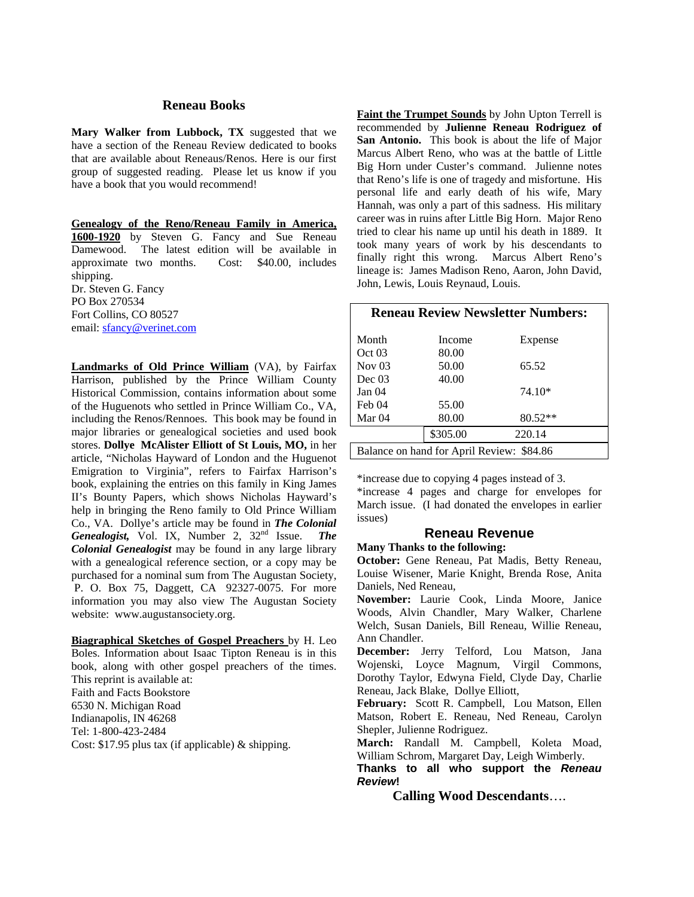### **Reneau Books**

**Mary Walker from Lubbock, TX** suggested that we have a section of the Reneau Review dedicated to books that are available about Reneaus/Renos. Here is our first group of suggested reading. Please let us know if you have a book that you would recommend!

**Genealogy of the Reno/Reneau Family in America, 1600-1920** by Steven G. Fancy and Sue Reneau Damewood. The latest edition will be available in approximate two months. Cost: \$40.00, includes shipping. Dr. Steven G. Fancy PO Box 270534 Fort Collins, CO 80527 email: [sfancy@verinet.com](mailto:sfancy@verinet.com)

**Landmarks of Old Prince William** (VA), by Fairfax Harrison, published by the Prince William County Historical Commission, contains information about some of the Huguenots who settled in Prince William Co., VA, including the Renos/Rennoes. This book may be found in major libraries or genealogical societies and used book stores. **Dollye McAlister Elliott of St Louis, MO,** in her article, "Nicholas Hayward of London and the Huguenot Emigration to Virginia", refers to Fairfax Harrison's book, explaining the entries on this family in King James II's Bounty Papers, which shows Nicholas Hayward's help in bringing the Reno family to Old Prince William Co., VA. Dollye's article may be found in *The Colonial Genealogist,* Vol. IX, Number 2, 32nd Issue. *The Colonial Genealogist* may be found in any large library with a genealogical reference section, or a copy may be purchased for a nominal sum from The Augustan Society, P. O. Box 75, Daggett, CA 92327-0075. For more information you may also view The Augustan Society website: www.augustansociety.org.

**Biagraphical Sketches of Gospel Preachers** by H. Leo Boles. Information about Isaac Tipton Reneau is in this book, along with other gospel preachers of the times. This reprint is available at: Faith and Facts Bookstore 6530 N. Michigan Road Indianapolis, IN 46268 Tel: 1-800-423-2484 Cost: \$17.95 plus tax (if applicable) & shipping.

**Faint the Trumpet Sounds** by John Upton Terrell is recommended by **Julienne Reneau Rodriguez of San Antonio.** This book is about the life of Major Marcus Albert Reno, who was at the battle of Little Big Horn under Custer's command. Julienne notes that Reno's life is one of tragedy and misfortune. His personal life and early death of his wife, Mary Hannah, was only a part of this sadness. His military career was in ruins after Little Big Horn. Major Reno tried to clear his name up until his death in 1889. It took many years of work by his descendants to finally right this wrong. Marcus Albert Reno's lineage is: James Madison Reno, Aaron, John David, John, Lewis, Louis Reynaud, Louis.

| <b>Reneau Review Newsletter Numbers:</b>  |          |           |
|-------------------------------------------|----------|-----------|
| Month                                     | Income   | Expense   |
| Oct 03                                    | 80.00    |           |
| Nov $03$                                  | 50.00    | 65.52     |
| Dec~03                                    | 40.00    |           |
| Jan <sub>04</sub>                         |          | 74.10*    |
| Feb 04                                    | 55.00    |           |
| Mar 04                                    | 80.00    | $80.52**$ |
|                                           | \$305.00 | 220.14    |
| Balance on hand for April Review: \$84.86 |          |           |

\*increase due to copying 4 pages instead of 3.

\*increase 4 pages and charge for envelopes for March issue. (I had donated the envelopes in earlier issues)

#### **Reneau Revenue**

# **Many Thanks to the following:**

**October:** Gene Reneau, Pat Madis, Betty Reneau, Louise Wisener, Marie Knight, Brenda Rose, Anita Daniels, Ned Reneau,

**November:** Laurie Cook, Linda Moore, Janice Woods, Alvin Chandler, Mary Walker, Charlene Welch, Susan Daniels, Bill Reneau, Willie Reneau, Ann Chandler.

**December:** Jerry Telford, Lou Matson, Jana Wojenski, Loyce Magnum, Virgil Commons, Dorothy Taylor, Edwyna Field, Clyde Day, Charlie Reneau, Jack Blake, Dollye Elliott,

**February:** Scott R. Campbell, Lou Matson, Ellen Matson, Robert E. Reneau, Ned Reneau, Carolyn Shepler, Julienne Rodriguez.

**March:** Randall M. Campbell, Koleta Moad, William Schrom, Margaret Day, Leigh Wimberly.

**Thanks to all who support the** *Reneau Review***!** 

**Calling Wood Descendants**….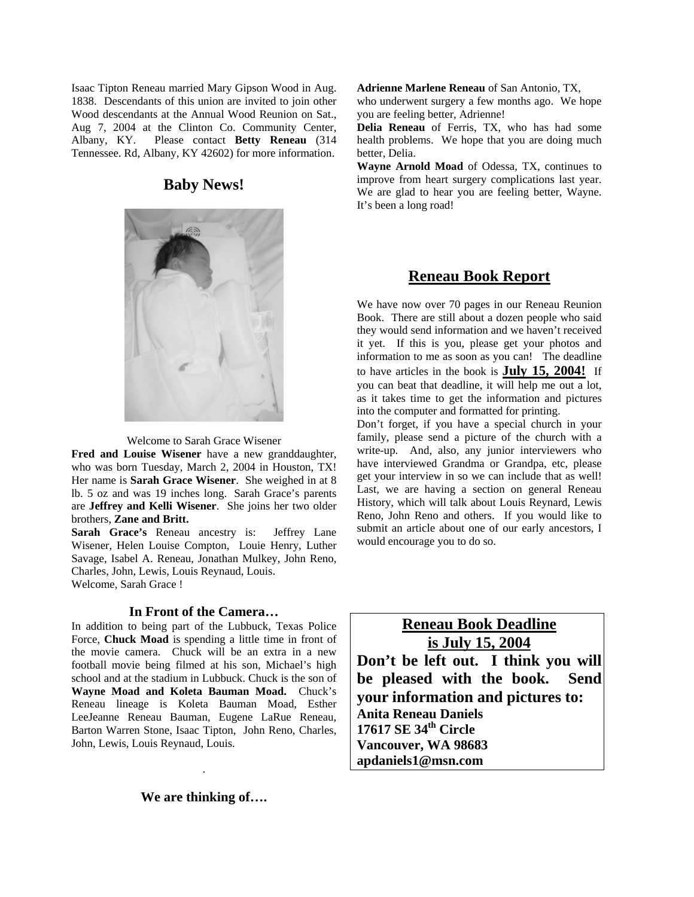Isaac Tipton Reneau married Mary Gipson Wood in Aug. 1838. Descendants of this union are invited to join other Wood descendants at the Annual Wood Reunion on Sat., Aug 7, 2004 at the Clinton Co. Community Center, Albany, KY. Please contact **Betty Reneau** (314 Tennessee. Rd, Albany, KY 42602) for more information.

## **Baby News!**



Welcome to Sarah Grace Wisener

**Fred and Louise Wisener** have a new granddaughter, who was born Tuesday, March 2, 2004 in Houston, TX! Her name is **Sarah Grace Wisener**. She weighed in at 8 lb. 5 oz and was 19 inches long. Sarah Grace's parents are **Jeffrey and Kelli Wisener**. She joins her two older brothers, **Zane and Britt.** 

**Sarah Grace's** Reneau ancestry is: Jeffrey Lane Wisener, Helen Louise Compton, Louie Henry, Luther Savage, Isabel A. Reneau, Jonathan Mulkey, John Reno, Charles, John, Lewis, Louis Reynaud, Louis. Welcome, Sarah Grace !

#### **In Front of the Camera…**

In addition to being part of the Lubbuck, Texas Police Force, **Chuck Moad** is spending a little time in front of the movie camera. Chuck will be an extra in a new football movie being filmed at his son, Michael's high school and at the stadium in Lubbuck. Chuck is the son of **Wayne Moad and Koleta Bauman Moad.** Chuck's Reneau lineage is Koleta Bauman Moad, Esther LeeJeanne Reneau Bauman, Eugene LaRue Reneau, Barton Warren Stone, Isaac Tipton, John Reno, Charles, John, Lewis, Louis Reynaud, Louis.

**Adrienne Marlene Reneau** of San Antonio, TX,

who underwent surgery a few months ago. We hope you are feeling better, Adrienne!

**Delia Reneau** of Ferris, TX, who has had some health problems. We hope that you are doing much better, Delia.

**Wayne Arnold Moad** of Odessa, TX, continues to improve from heart surgery complications last year. We are glad to hear you are feeling better, Wayne. It's been a long road!

# **Reneau Book Report**

We have now over 70 pages in our Reneau Reunion Book. There are still about a dozen people who said they would send information and we haven't received it yet. If this is you, please get your photos and information to me as soon as you can! The deadline to have articles in the book is **July 15, 2004!** If you can beat that deadline, it will help me out a lot, as it takes time to get the information and pictures into the computer and formatted for printing.

Don't forget, if you have a special church in your family, please send a picture of the church with a write-up. And, also, any junior interviewers who have interviewed Grandma or Grandpa, etc, please get your interview in so we can include that as well! Last, we are having a section on general Reneau History, which will talk about Louis Reynard, Lewis Reno, John Reno and others. If you would like to submit an article about one of our early ancestors, I would encourage you to do so.

**Reneau Book Deadline is July 15, 2004 Don't be left out. I think you will be pleased with the book. Send your information and pictures to: Anita Reneau Daniels 17617 SE 34th Circle Vancouver, WA 98683 apdaniels1@msn.com** 

**We are thinking of….** 

.